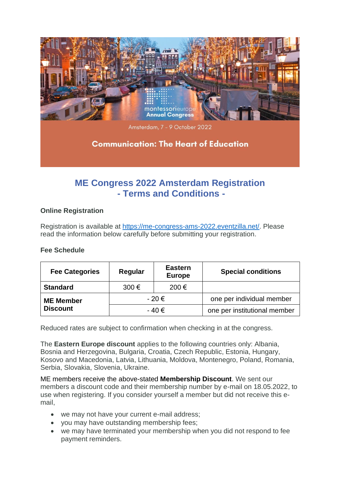

# **ME Congress 2022 Amsterdam Registration - Terms and Conditions -**

# **Online Registration**

Registration is available at [https://me-congress-ams-2022.eventzilla.net/.](https://me-congress-ams-2022.eventzilla.net/) Please read the information below carefully before submitting your registration.

### **Fee Schedule**

| <b>Fee Categories</b> | Regular   | <b>Eastern</b><br><b>Europe</b> | <b>Special conditions</b>    |
|-----------------------|-----------|---------------------------------|------------------------------|
| <b>Standard</b>       | 300€      | 200€                            |                              |
| <b>ME Member</b>      | $-20 \in$ |                                 | one per individual member    |
| <b>Discount</b>       | $-40 \in$ |                                 | one per institutional member |

Reduced rates are subject to confirmation when checking in at the congress.

The **Eastern Europe discount** applies to the following countries only: Albania, Bosnia and Herzegovina, Bulgaria, Croatia, Czech Republic, Estonia, Hungary, Kosovo and Macedonia, Latvia, Lithuania, Moldova, Montenegro, Poland, Romania, Serbia, Slovakia, Slovenia, Ukraine.

ME members receive the above-stated **Membership Discount**. We sent our members a discount code and their membership number by e-mail on 18.05.2022, to use when registering. If you consider yourself a member but did not receive this email,

- we may not have your current e-mail address;
- you may have outstanding membership fees;
- we may have terminated your membership when you did not respond to fee payment reminders.